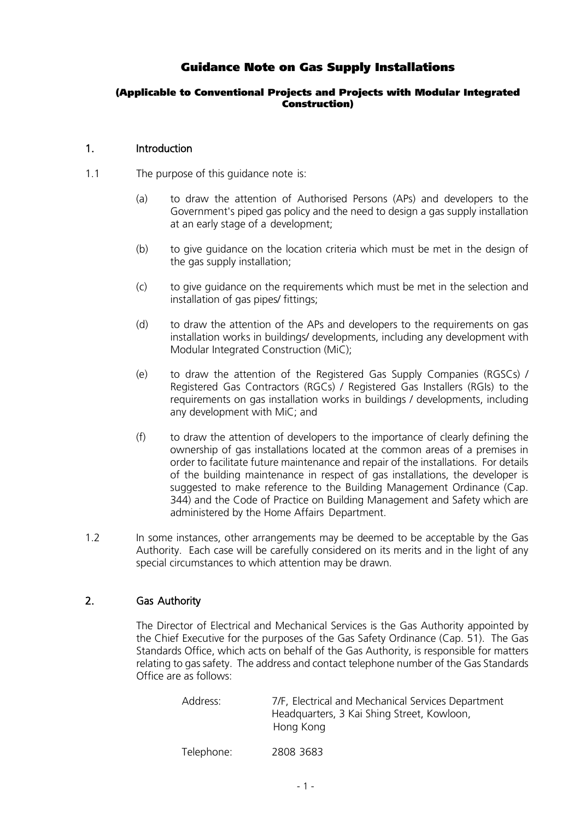# Guidance Note on Gas Supply Installations

#### (Applicable to Conventional Projects and Projects with Modular Integrated Construction)

#### 1. Introduction

- 1.1 The purpose of this guidance note is:
	- (a) to draw the attention of Authorised Persons (APs) and developers to the Government's piped gas policy and the need to design a gas supply installation at an early stage of a development;
	- (b) to give guidance on the location criteria which must be met in the design of the gas supply installation;
	- (c) to give guidance on the requirements which must be met in the selection and installation of gas pipes/ fittings;
	- (d) to draw the attention of the APs and developers to the requirements on gas installation works in buildings/ developments, including any development with Modular Integrated Construction (MiC);
	- (e) to draw the attention of the Registered Gas Supply Companies (RGSCs) / Registered Gas Contractors (RGCs) / Registered Gas Installers (RGIs) to the requirements on gas installation works in buildings / developments, including any development with MiC; and
	- (f) to draw the attention of developers to the importance of clearly defining the ownership of gas installations located at the common areas of a premises in order to facilitate future maintenance and repair of the installations. For details of the building maintenance in respect of gas installations, the developer is suggested to make reference to the Building Management Ordinance (Cap. 344) and the Code of Practice on Building Management and Safety which are administered by the Home Affairs Department.
- 1.2 In some instances, other arrangements may be deemed to be acceptable by the Gas Authority. Each case will be carefully considered on its merits and in the light of any special circumstances to which attention may be drawn.

### 2. Gas Authority

The Director of Electrical and Mechanical Services is the Gas Authority appointed by the Chief Executive for the purposes of the Gas Safety Ordinance (Cap. 51). The Gas Standards Office, which acts on behalf of the Gas Authority, is responsible for matters relating to gas safety. The address and contact telephone number of the Gas Standards Office are as follows:

| Address:   | 7/F, Electrical and Mechanical Services Department<br>Headquarters, 3 Kai Shing Street, Kowloon,<br>Hong Kong |
|------------|---------------------------------------------------------------------------------------------------------------|
| Telephone: | 2808 3683                                                                                                     |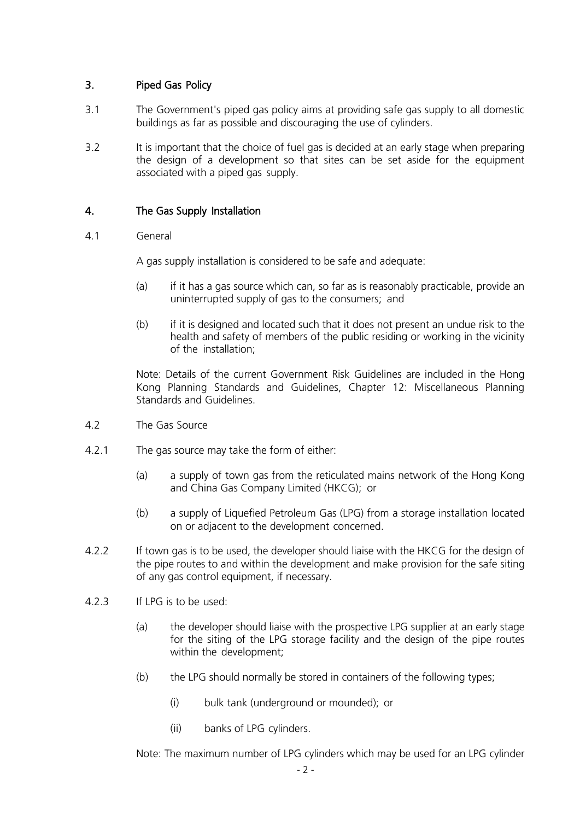### 3. Piped Gas Policy

- 3.1 The Government's piped gas policy aims at providing safe gas supply to all domestic buildings as far as possible and discouraging the use of cylinders.
- 3.2 It is important that the choice of fuel gas is decided at an early stage when preparing the design of a development so that sites can be set aside for the equipment associated with a piped gas supply.

### 4. The Gas Supply Installation

4.1 General

A gas supply installation is considered to be safe and adequate:

- (a) if it has a gas source which can, so far as is reasonably practicable, provide an uninterrupted supply of gas to the consumers; and
- (b) if it is designed and located such that it does not present an undue risk to the health and safety of members of the public residing or working in the vicinity of the installation;

Note: Details of the current Government Risk Guidelines are included in the Hong Kong Planning Standards and Guidelines, Chapter 12: Miscellaneous Planning Standards and Guidelines.

- 4.2 The Gas Source
- 4.2.1 The gas source may take the form of either:
	- (a) a supply of town gas from the reticulated mains network of the Hong Kong and China Gas Company Limited (HKCG); or
	- (b) a supply of Liquefied Petroleum Gas (LPG) from a storage installation located on or adjacent to the development concerned.
- 4.2.2 If town gas is to be used, the developer should liaise with the HKCG for the design of the pipe routes to and within the development and make provision for the safe siting of any gas control equipment, if necessary.
- 4.2.3 If LPG is to be used:
	- (a) the developer should liaise with the prospective LPG supplier at an early stage for the siting of the LPG storage facility and the design of the pipe routes within the development;
	- (b) the LPG should normally be stored in containers of the following types;
		- (i) bulk tank (underground or mounded); or
		- (ii) banks of LPG cylinders.

Note: The maximum number of LPG cylinders which may be used for an LPG cylinder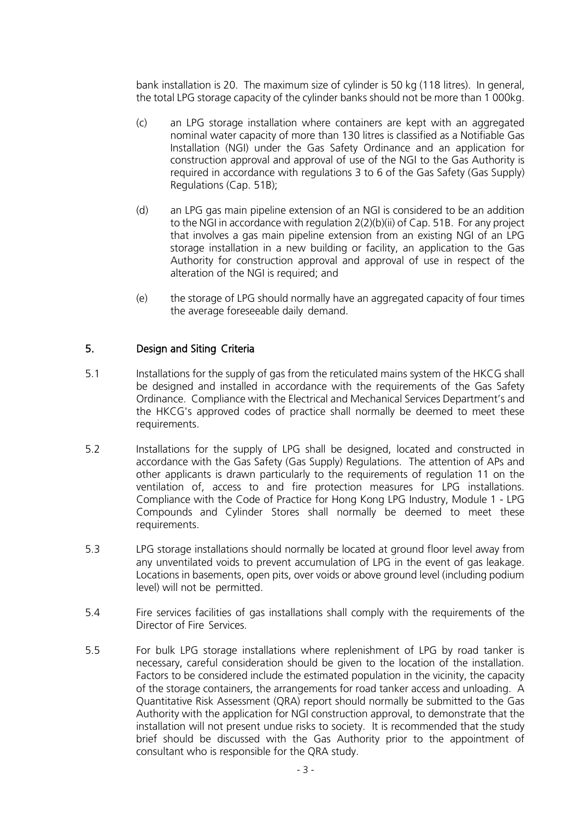bank installation is 20. The maximum size of cylinder is 50 kg (118 litres). In general, the total LPG storage capacity of the cylinder banks should not be more than 1 000kg.

- (c) an LPG storage installation where containers are kept with an aggregated nominal water capacity of more than 130 litres is classified as a Notifiable Gas Installation (NGI) under the Gas Safety Ordinance and an application for construction approval and approval of use of the NGI to the Gas Authority is required in accordance with regulations 3 to 6 of the Gas Safety (Gas Supply) Regulations (Cap. 51B);
- (d) an LPG gas main pipeline extension of an NGI is considered to be an addition to the NGI in accordance with regulation 2(2)(b)(ii) of Cap. 51B. For any project that involves a gas main pipeline extension from an existing NGI of an LPG storage installation in a new building or facility, an application to the Gas Authority for construction approval and approval of use in respect of the alteration of the NGI is required; and
- (e) the storage of LPG should normally have an aggregated capacity of four times the average foreseeable daily demand.

### 5. Design and Siting Criteria

- 5.1 Installations for the supply of gas from the reticulated mains system of the HKCG shall be designed and installed in accordance with the requirements of the Gas Safety Ordinance. Compliance with the Electrical and Mechanical Services Department's and the HKCG's approved codes of practice shall normally be deemed to meet these requirements.
- 5.2 Installations for the supply of LPG shall be designed, located and constructed in accordance with the Gas Safety (Gas Supply) Regulations. The attention of APs and other applicants is drawn particularly to the requirements of regulation 11 on the ventilation of, access to and fire protection measures for LPG installations. Compliance with the Code of Practice for Hong Kong LPG Industry, Module 1 - LPG Compounds and Cylinder Stores shall normally be deemed to meet these requirements.
- 5.3 LPG storage installations should normally be located at ground floor level away from any unventilated voids to prevent accumulation of LPG in the event of gas leakage. Locations in basements, open pits, over voids or above ground level (including podium level) will not be permitted.
- 5.4 Fire services facilities of gas installations shall comply with the requirements of the Director of Fire Services.
- 5.5 For bulk LPG storage installations where replenishment of LPG by road tanker is necessary, careful consideration should be given to the location of the installation. Factors to be considered include the estimated population in the vicinity, the capacity of the storage containers, the arrangements for road tanker access and unloading. A Quantitative Risk Assessment (QRA) report should normally be submitted to the Gas Authority with the application for NGI construction approval, to demonstrate that the installation will not present undue risks to society. It is recommended that the study brief should be discussed with the Gas Authority prior to the appointment of consultant who is responsible for the QRA study.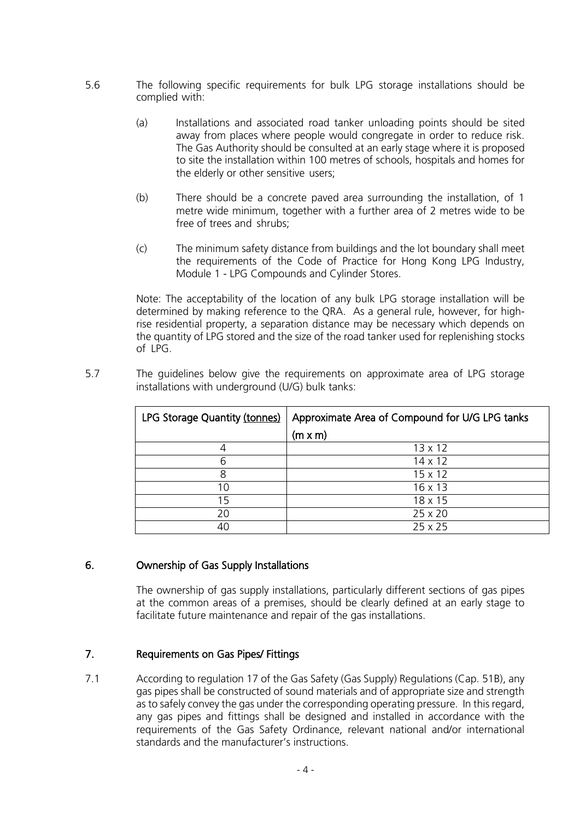- 5.6 The following specific requirements for bulk LPG storage installations should be complied with:
	- (a) Installations and associated road tanker unloading points should be sited away from places where people would congregate in order to reduce risk. The Gas Authority should be consulted at an early stage where it is proposed to site the installation within 100 metres of schools, hospitals and homes for the elderly or other sensitive users;
	- (b) There should be a concrete paved area surrounding the installation, of 1 metre wide minimum, together with a further area of 2 metres wide to be free of trees and shrubs;
	- (c) The minimum safety distance from buildings and the lot boundary shall meet the requirements of the Code of Practice for Hong Kong LPG Industry, Module 1 - LPG Compounds and Cylinder Stores.

Note: The acceptability of the location of any bulk LPG storage installation will be determined by making reference to the QRA. As a general rule, however, for highrise residential property, a separation distance may be necessary which depends on the quantity of LPG stored and the size of the road tanker used for replenishing stocks of LPG.

5.7 The guidelines below give the requirements on approximate area of LPG storage installations with underground (U/G) bulk tanks:

| LPG Storage Quantity (tonnes) | Approximate Area of Compound for U/G LPG tanks |
|-------------------------------|------------------------------------------------|
|                               | $(m \times m)$                                 |
|                               | $13 \times 12$                                 |
| 6                             | $14 \times 12$                                 |
| 8                             | $15 \times 12$                                 |
| 10                            | 16 x 13                                        |
| 15                            | $18 \times 15$                                 |
| 20                            | $25 \times 20$                                 |
| 40                            | 25x25                                          |

#### 6. Ownership of Gas Supply Installations

The ownership of gas supply installations, particularly different sections of gas pipes at the common areas of a premises, should be clearly defined at an early stage to facilitate future maintenance and repair of the gas installations.

#### 7. Requirements on Gas Pipes/ Fittings

7.1 According to regulation 17 of the Gas Safety (Gas Supply) Regulations (Cap. 51B), any gas pipes shall be constructed of sound materials and of appropriate size and strength as to safely convey the gas under the corresponding operating pressure. In this regard, any gas pipes and fittings shall be designed and installed in accordance with the requirements of the Gas Safety Ordinance, relevant national and/or international standards and the manufacturer's instructions.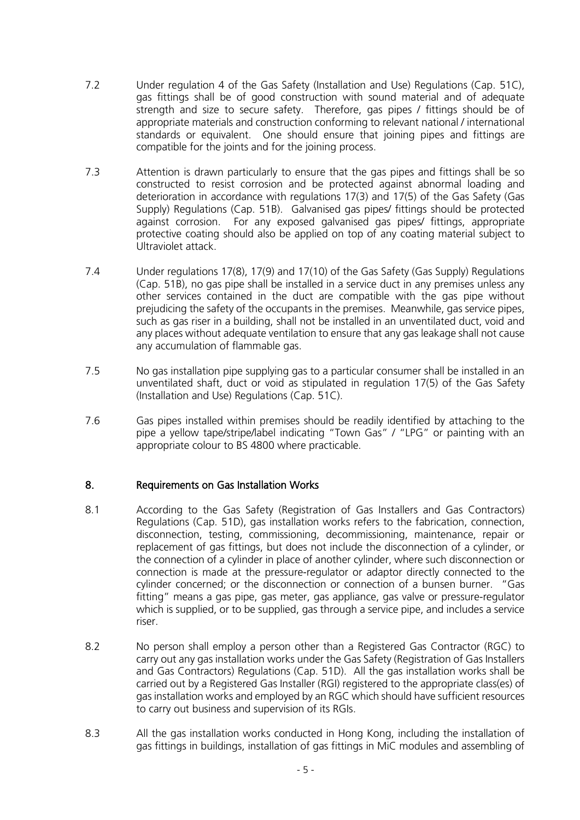- 7.2 Under regulation 4 of the Gas Safety (Installation and Use) Regulations (Cap. 51C), gas fittings shall be of good construction with sound material and of adequate strength and size to secure safety. Therefore, gas pipes / fittings should be of appropriate materials and construction conforming to relevant national / international standards or equivalent. One should ensure that joining pipes and fittings are compatible for the joints and for the joining process.
- 7.3 Attention is drawn particularly to ensure that the gas pipes and fittings shall be so constructed to resist corrosion and be protected against abnormal loading and deterioration in accordance with regulations 17(3) and 17(5) of the Gas Safety (Gas Supply) Regulations (Cap. 51B). Galvanised gas pipes/ fittings should be protected against corrosion. For any exposed galvanised gas pipes/ fittings, appropriate protective coating should also be applied on top of any coating material subject to Ultraviolet attack.
- 7.4 Under regulations 17(8), 17(9) and 17(10) of the Gas Safety (Gas Supply) Regulations (Cap. 51B), no gas pipe shall be installed in a service duct in any premises unless any other services contained in the duct are compatible with the gas pipe without prejudicing the safety of the occupants in the premises. Meanwhile, gas service pipes, such as gas riser in a building, shall not be installed in an unventilated duct, void and any places without adequate ventilation to ensure that any gas leakage shall not cause any accumulation of flammable gas.
- 7.5 No gas installation pipe supplying gas to a particular consumer shall be installed in an unventilated shaft, duct or void as stipulated in regulation 17(5) of the Gas Safety (Installation and Use) Regulations (Cap. 51C).
- 7.6 Gas pipes installed within premises should be readily identified by attaching to the pipe a yellow tape/stripe/label indicating "Town Gas" / "LPG" or painting with an appropriate colour to BS 4800 where practicable.

### 8. Requirements on Gas Installation Works

- 8.1 According to the Gas Safety (Registration of Gas Installers and Gas Contractors) Regulations (Cap. 51D), gas installation works refers to the fabrication, connection, disconnection, testing, commissioning, decommissioning, maintenance, repair or replacement of gas fittings, but does not include the disconnection of a cylinder, or the connection of a cylinder in place of another cylinder, where such disconnection or connection is made at the pressure-regulator or adaptor directly connected to the cylinder concerned; or the disconnection or connection of a bunsen burner. "Gas fitting" means a gas pipe, gas meter, gas appliance, gas valve or pressure-regulator which is supplied, or to be supplied, gas through a service pipe, and includes a service riser.
- 8.2 No person shall employ a person other than a Registered Gas Contractor (RGC) to carry out any gas installation works under the Gas Safety (Registration of Gas Installers and Gas Contractors) Regulations (Cap. 51D). All the gas installation works shall be carried out by a Registered Gas Installer (RGI) registered to the appropriate class(es) of gas installation works and employed by an RGC which should have sufficient resources to carry out business and supervision of its RGIs.
- 8.3 All the gas installation works conducted in Hong Kong, including the installation of gas fittings in buildings, installation of gas fittings in MiC modules and assembling of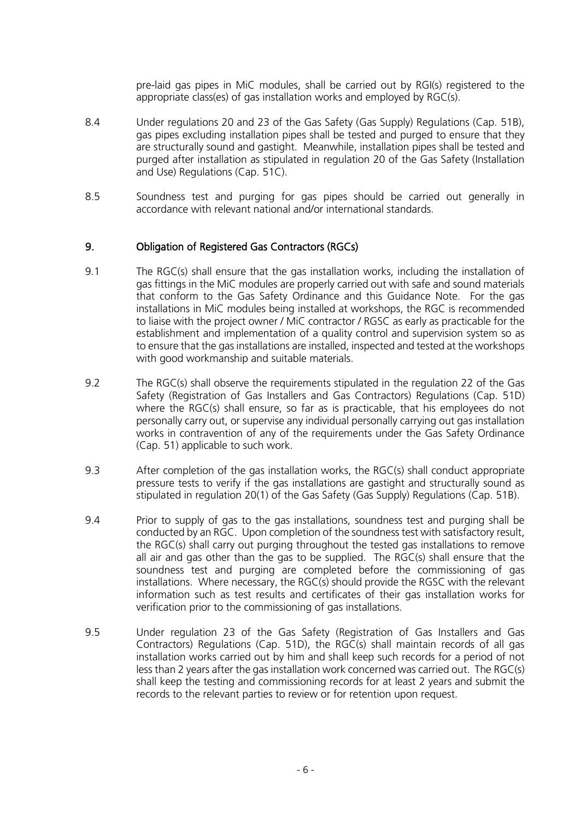pre-laid gas pipes in MiC modules, shall be carried out by RGI(s) registered to the appropriate class(es) of gas installation works and employed by RGC(s).

- 8.4 Under regulations 20 and 23 of the Gas Safety (Gas Supply) Regulations (Cap. 51B), gas pipes excluding installation pipes shall be tested and purged to ensure that they are structurally sound and gastight. Meanwhile, installation pipes shall be tested and purged after installation as stipulated in regulation 20 of the Gas Safety (Installation and Use) Regulations (Cap. 51C).
- 8.5 Soundness test and purging for gas pipes should be carried out generally in accordance with relevant national and/or international standards.

#### 9. Obligation of Registered Gas Contractors (RGCs)

- 9.1 The RGC(s) shall ensure that the gas installation works, including the installation of gas fittings in the MiC modules are properly carried out with safe and sound materials that conform to the Gas Safety Ordinance and this Guidance Note. For the gas installations in MiC modules being installed at workshops, the RGC is recommended to liaise with the project owner / MiC contractor / RGSC as early as practicable for the establishment and implementation of a quality control and supervision system so as to ensure that the gas installations are installed, inspected and tested at the workshops with good workmanship and suitable materials.
- 9.2 The RGC(s) shall observe the requirements stipulated in the regulation 22 of the Gas Safety (Registration of Gas Installers and Gas Contractors) Regulations (Cap. 51D) where the RGC(s) shall ensure, so far as is practicable, that his employees do not personally carry out, or supervise any individual personally carrying out gas installation works in contravention of any of the requirements under the Gas Safety Ordinance (Cap. 51) applicable to such work.
- 9.3 After completion of the gas installation works, the RGC(s) shall conduct appropriate pressure tests to verify if the gas installations are gastight and structurally sound as stipulated in regulation 20(1) of the Gas Safety (Gas Supply) Regulations (Cap. 51B).
- 9.4 Prior to supply of gas to the gas installations, soundness test and purging shall be conducted by an RGC. Upon completion of the soundness test with satisfactory result, the RGC(s) shall carry out purging throughout the tested gas installations to remove all air and gas other than the gas to be supplied. The RGC(s) shall ensure that the soundness test and purging are completed before the commissioning of gas installations. Where necessary, the RGC(s) should provide the RGSC with the relevant information such as test results and certificates of their gas installation works for verification prior to the commissioning of gas installations.
- 9.5 Under regulation 23 of the Gas Safety (Registration of Gas Installers and Gas Contractors) Regulations (Cap. 51D), the RGC(s) shall maintain records of all gas installation works carried out by him and shall keep such records for a period of not less than 2 years after the gas installation work concerned was carried out. The RGC(s) shall keep the testing and commissioning records for at least 2 years and submit the records to the relevant parties to review or for retention upon request.